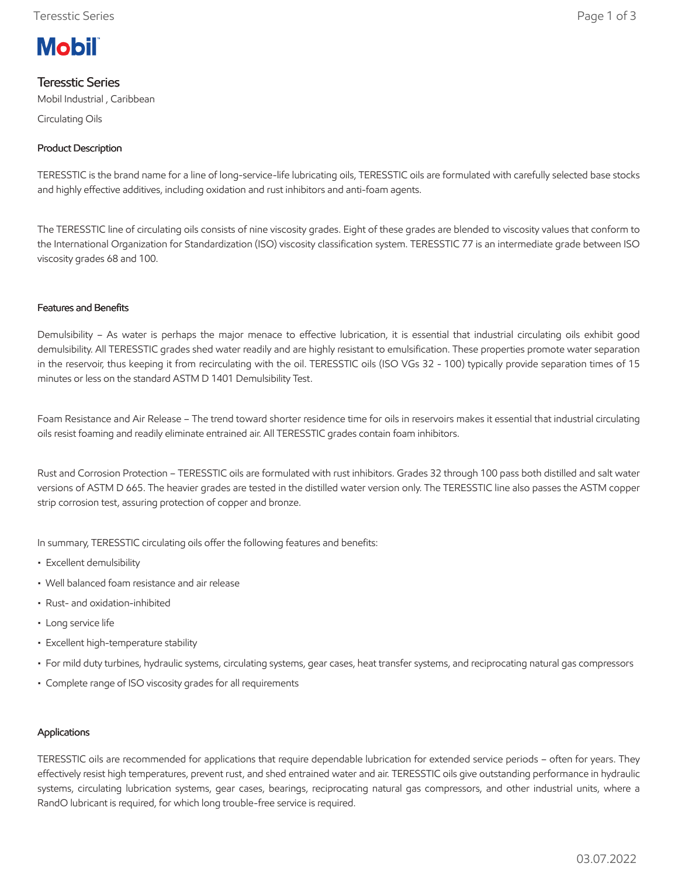# **Mobil**

# Teresstic Series

Mobil Industrial , Caribbean

Circulating Oils

## Product Description

TERESSTIC is the brand name for a line of long-service-life lubricating oils, TERESSTIC oils are formulated with carefully selected base stocks and highly effective additives, including oxidation and rust inhibitors and anti-foam agents.

The TERESSTIC line of circulating oils consists of nine viscosity grades. Eight of these grades are blended to viscosity values that conform to the International Organization for Standardization (ISO) viscosity classification system. TERESSTIC 77 is an intermediate grade between ISO viscosity grades 68 and 100.

#### Features and Benefits

Demulsibility – As water is perhaps the major menace to effective lubrication, it is essential that industrial circulating oils exhibit good demulsibility. All TERESSTIC grades shed water readily and are highly resistant to emulsification. These properties promote water separation in the reservoir, thus keeping it from recirculating with the oil. TERESSTIC oils (ISO VGs 32 - 100) typically provide separation times of 15 minutes or less on the standard ASTM D 1401 Demulsibility Test.

Foam Resistance and Air Release – The trend toward shorter residence time for oils in reservoirs makes it essential that industrial circulating oils resist foaming and readily eliminate entrained air. All TERESSTIC grades contain foam inhibitors.

Rust and Corrosion Protection – TERESSTIC oils are formulated with rust inhibitors. Grades 32 through 100 pass both distilled and salt water versions of ASTM D 665. The heavier grades are tested in the distilled water version only. The TERESSTIC line also passes the ASTM copper strip corrosion test, assuring protection of copper and bronze.

In summary, TERESSTIC circulating oils offer the following features and benefits:

- Excellent demulsibility
- Well balanced foam resistance and air release
- Rust- and oxidation-inhibited
- Long service life
- Excellent high-temperature stability
- For mild duty turbines, hydraulic systems, circulating systems, gear cases, heat transfer systems, and reciprocating natural gas compressors
- Complete range of ISO viscosity grades for all requirements

#### Applications

TERESSTIC oils are recommended for applications that require dependable lubrication for extended service periods – often for years. They effectively resist high temperatures, prevent rust, and shed entrained water and air. TERESSTIC oils give outstanding performance in hydraulic systems, circulating lubrication systems, gear cases, bearings, reciprocating natural gas compressors, and other industrial units, where a RandO lubricant is required, for which long trouble-free service is required.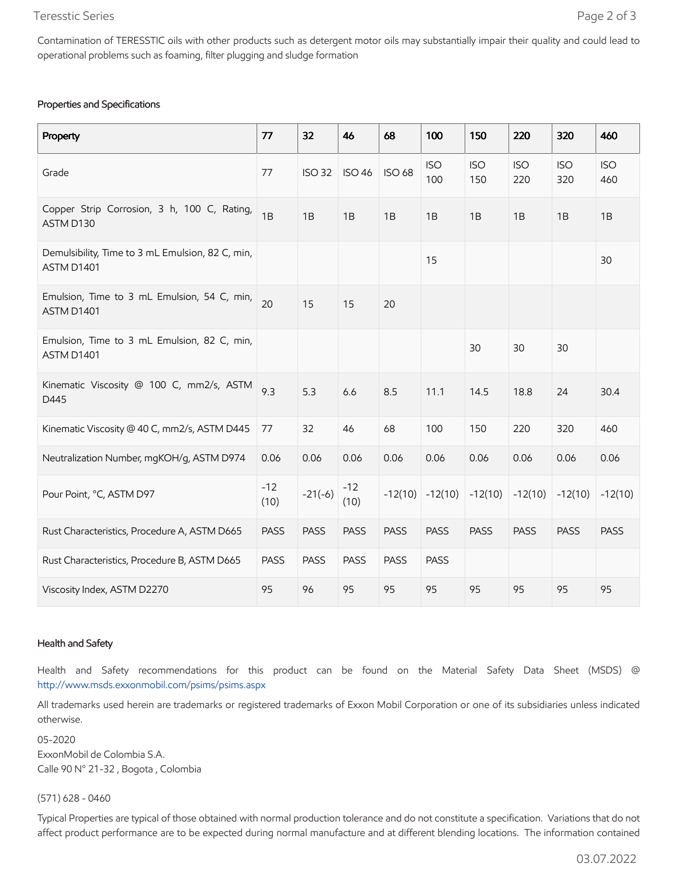#### Teresstic Series Page 2 of 3

### Properties and Specifications

| Property                                                       | 77            | 32            | 46            | 68            | 100               | 150               | 220               | 320               | 460               |
|----------------------------------------------------------------|---------------|---------------|---------------|---------------|-------------------|-------------------|-------------------|-------------------|-------------------|
| Grade                                                          | 77            | <b>ISO 32</b> | <b>ISO 46</b> | <b>ISO 68</b> | <b>ISO</b><br>100 | <b>ISO</b><br>150 | <b>ISO</b><br>220 | <b>ISO</b><br>320 | <b>ISO</b><br>460 |
| Copper Strip Corrosion, 3 h, 100 C, Rating,<br>ASTM D130       | 1B            | 1B            | 1B            | 1B            | 1B                | 1B                | 1B                | 1B                | 1B                |
| Demulsibility, Time to 3 mL Emulsion, 82 C, min,<br>ASTM D1401 |               |               |               |               | 15                |                   |                   |                   | 30                |
| Emulsion, Time to 3 mL Emulsion, 54 C, min,<br>ASTM D1401      | 20            | 15            | 15            | 20            |                   |                   |                   |                   |                   |
| Emulsion, Time to 3 mL Emulsion, 82 C, min,<br>ASTM D1401      |               |               |               |               |                   | 30                | 30                | 30                |                   |
| Kinematic Viscosity @ 100 C, mm2/s, ASTM<br>D445               | 9.3           | 5.3           | 6.6           | 8.5           | 11.1              | 14.5              | 18.8              | 24                | 30.4              |
| Kinematic Viscosity @ 40 C, mm2/s, ASTM D445                   | 77            | 32            | 46            | 68            | 100               | 150               | 220               | 320               | 460               |
| Neutralization Number, mgKOH/g, ASTM D974                      | 0.06          | 0.06          | 0.06          | 0.06          | 0.06              | 0.06              | 0.06              | 0.06              | 0.06              |
| Pour Point, °C, ASTM D97                                       | $-12$<br>(10) | $-21(-6)$     | $-12$<br>(10) | $-12(10)$     | $-12(10)$         | $-12(10)$         | $-12(10)$         | $-12(10)$         | $-12(10)$         |
| Rust Characteristics, Procedure A, ASTM D665                   | <b>PASS</b>   | <b>PASS</b>   | <b>PASS</b>   | <b>PASS</b>   | <b>PASS</b>       | <b>PASS</b>       | <b>PASS</b>       | <b>PASS</b>       | <b>PASS</b>       |
| Rust Characteristics, Procedure B, ASTM D665                   | <b>PASS</b>   | <b>PASS</b>   | <b>PASS</b>   | PASS          | <b>PASS</b>       |                   |                   |                   |                   |
| Viscosity Index, ASTM D2270                                    | 95            | 96            | 95            | 95            | 95                | 95                | 95                | 95                | 95                |

#### Health and Safety

Health and Safety recommendations for this product can be found on the Material Safety Data Sheet (MSDS) @ <http://www.msds.exxonmobil.com/psims/psims.aspx>

All trademarks used herein are trademarks or registered trademarks of Exxon Mobil Corporation or one of its subsidiaries unless indicated otherwise.

05-2020 ExxonMobil de Colombia S.A. Calle 90 N° 21-32 , Bogota , Colombia

(571) 628 - 0460

Typical Properties are typical of those obtained with normal production tolerance and do not constitute a specification. Variations that do not affect product performance are to be expected during normal manufacture and at different blending locations. The information contained